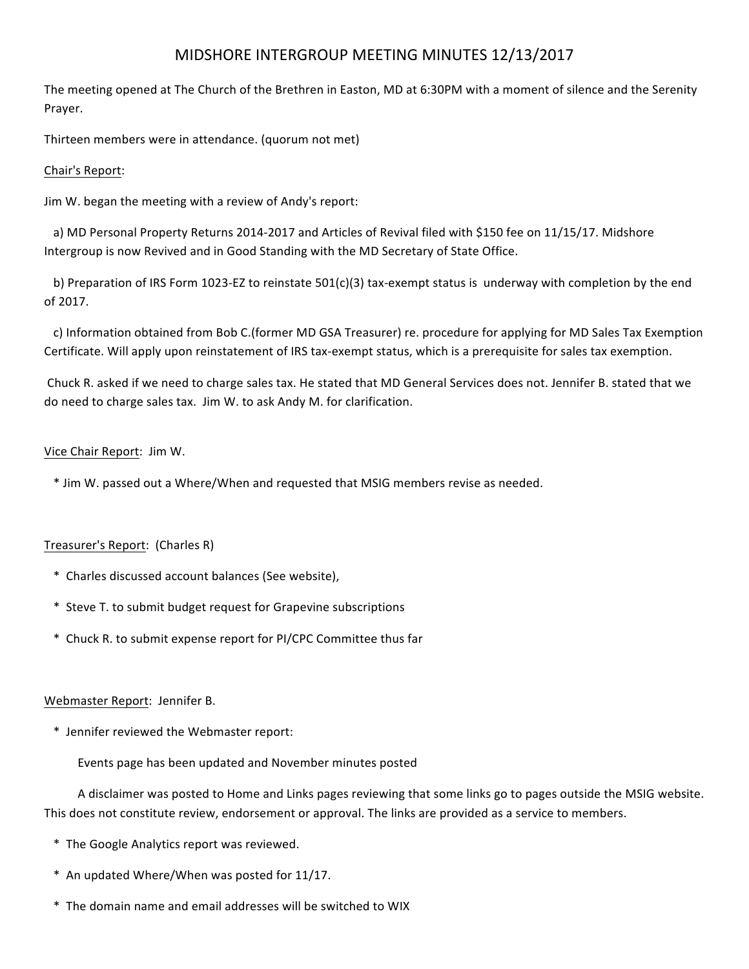# MIDSHORE INTERGROUP MEETING MINUTES 12/13/2017

The meeting opened at The Church of the Brethren in Easton, MD at 6:30PM with a moment of silence and the Serenity Prayer.

Thirteen members were in attendance. (quorum not met)

## Chair's Report:

Jim W. began the meeting with a review of Andy's report:

a) MD Personal Property Returns 2014-2017 and Articles of Revival filed with \$150 fee on 11/15/17. Midshore Intergroup is now Revived and in Good Standing with the MD Secretary of State Office.

b) Preparation of IRS Form 1023-EZ to reinstate  $501(c)(3)$  tax-exempt status is underway with completion by the end of 2017.

c) Information obtained from Bob C.(former MD GSA Treasurer) re. procedure for applying for MD Sales Tax Exemption Certificate. Will apply upon reinstatement of IRS tax-exempt status, which is a prerequisite for sales tax exemption.

Chuck R. asked if we need to charge sales tax. He stated that MD General Services does not. Jennifer B. stated that we do need to charge sales tax. Jim W. to ask Andy M. for clarification.

## Vice Chair Report: Jim W.

\* Jim W. passed out a Where/When and requested that MSIG members revise as needed.

## Treasurer's Report: (Charles R)

- \* Charles discussed account balances (See website),
- \* Steve T. to submit budget request for Grapevine subscriptions
- \* Chuck R. to submit expense report for PI/CPC Committee thus far

## Webmaster Report: Jennifer B.

 \* Jennifer reviewed the Webmaster report: 

Events page has been updated and November minutes posted

A disclaimer was posted to Home and Links pages reviewing that some links go to pages outside the MSIG website. This does not constitute review, endorsement or approval. The links are provided as a service to members.

- \* The Google Analytics report was reviewed.
- \* An updated Where/When was posted for 11/17.
- \* The domain name and email addresses will be switched to WIX